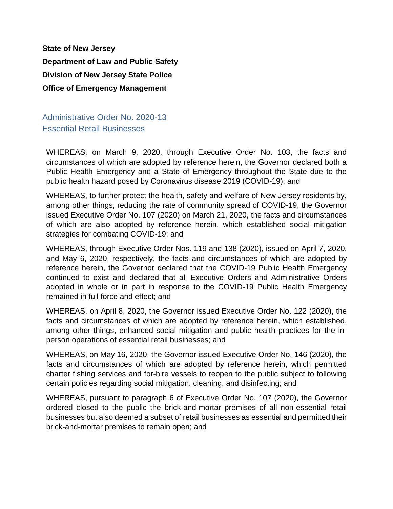**State of New Jersey Department of Law and Public Safety Division of New Jersey State Police Office of Emergency Management**

Administrative Order No. 2020-13 Essential Retail Businesses

WHEREAS, on March 9, 2020, through Executive Order No. 103, the facts and circumstances of which are adopted by reference herein, the Governor declared both a Public Health Emergency and a State of Emergency throughout the State due to the public health hazard posed by Coronavirus disease 2019 (COVID-19); and

WHEREAS, to further protect the health, safety and welfare of New Jersey residents by, among other things, reducing the rate of community spread of COVID-19, the Governor issued Executive Order No. 107 (2020) on March 21, 2020, the facts and circumstances of which are also adopted by reference herein, which established social mitigation strategies for combating COVID-19; and

WHEREAS, through Executive Order Nos. 119 and 138 (2020), issued on April 7, 2020, and May 6, 2020, respectively, the facts and circumstances of which are adopted by reference herein, the Governor declared that the COVID-19 Public Health Emergency continued to exist and declared that all Executive Orders and Administrative Orders adopted in whole or in part in response to the COVID-19 Public Health Emergency remained in full force and effect; and

WHEREAS, on April 8, 2020, the Governor issued Executive Order No. 122 (2020), the facts and circumstances of which are adopted by reference herein, which established, among other things, enhanced social mitigation and public health practices for the inperson operations of essential retail businesses; and

WHEREAS, on May 16, 2020, the Governor issued Executive Order No. 146 (2020), the facts and circumstances of which are adopted by reference herein, which permitted charter fishing services and for-hire vessels to reopen to the public subject to following certain policies regarding social mitigation, cleaning, and disinfecting; and

WHEREAS, pursuant to paragraph 6 of Executive Order No. 107 (2020), the Governor ordered closed to the public the brick-and-mortar premises of all non-essential retail businesses but also deemed a subset of retail businesses as essential and permitted their brick-and-mortar premises to remain open; and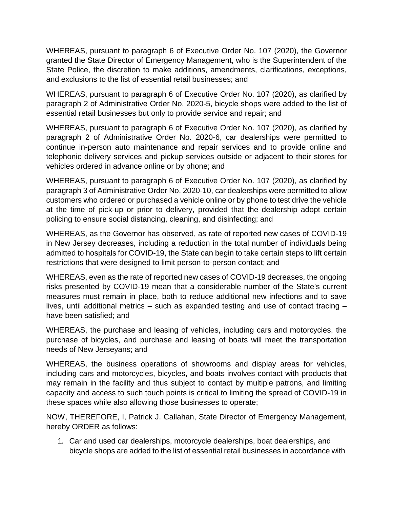WHEREAS, pursuant to paragraph 6 of Executive Order No. 107 (2020), the Governor granted the State Director of Emergency Management, who is the Superintendent of the State Police, the discretion to make additions, amendments, clarifications, exceptions, and exclusions to the list of essential retail businesses; and

WHEREAS, pursuant to paragraph 6 of Executive Order No. 107 (2020), as clarified by paragraph 2 of Administrative Order No. 2020-5, bicycle shops were added to the list of essential retail businesses but only to provide service and repair; and

WHEREAS, pursuant to paragraph 6 of Executive Order No. 107 (2020), as clarified by paragraph 2 of Administrative Order No. 2020-6, car dealerships were permitted to continue in-person auto maintenance and repair services and to provide online and telephonic delivery services and pickup services outside or adjacent to their stores for vehicles ordered in advance online or by phone; and

WHEREAS, pursuant to paragraph 6 of Executive Order No. 107 (2020), as clarified by paragraph 3 of Administrative Order No. 2020-10, car dealerships were permitted to allow customers who ordered or purchased a vehicle online or by phone to test drive the vehicle at the time of pick-up or prior to delivery, provided that the dealership adopt certain policing to ensure social distancing, cleaning, and disinfecting; and

WHEREAS, as the Governor has observed, as rate of reported new cases of COVID-19 in New Jersey decreases, including a reduction in the total number of individuals being admitted to hospitals for COVID-19, the State can begin to take certain steps to lift certain restrictions that were designed to limit person-to-person contact; and

WHEREAS, even as the rate of reported new cases of COVID-19 decreases, the ongoing risks presented by COVID-19 mean that a considerable number of the State's current measures must remain in place, both to reduce additional new infections and to save lives, until additional metrics – such as expanded testing and use of contact tracing – have been satisfied; and

WHEREAS, the purchase and leasing of vehicles, including cars and motorcycles, the purchase of bicycles, and purchase and leasing of boats will meet the transportation needs of New Jerseyans; and

WHEREAS, the business operations of showrooms and display areas for vehicles, including cars and motorcycles, bicycles, and boats involves contact with products that may remain in the facility and thus subject to contact by multiple patrons, and limiting capacity and access to such touch points is critical to limiting the spread of COVID-19 in these spaces while also allowing those businesses to operate;

NOW, THEREFORE, I, Patrick J. Callahan, State Director of Emergency Management, hereby ORDER as follows:

1. Car and used car dealerships, motorcycle dealerships, boat dealerships, and bicycle shops are added to the list of essential retail businesses in accordance with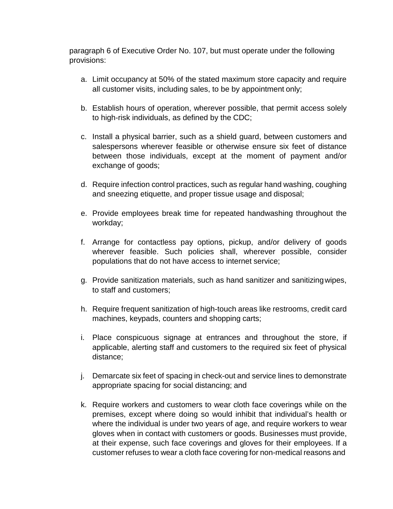paragraph 6 of Executive Order No. 107, but must operate under the following provisions:

- a. Limit occupancy at 50% of the stated maximum store capacity and require all customer visits, including sales, to be by appointment only;
- b. Establish hours of operation, wherever possible, that permit access solely to high-risk individuals, as defined by the CDC;
- c. Install a physical barrier, such as a shield guard, between customers and salespersons wherever feasible or otherwise ensure six feet of distance between those individuals, except at the moment of payment and/or exchange of goods;
- d. Require infection control practices, such as regular hand washing, coughing and sneezing etiquette, and proper tissue usage and disposal;
- e. Provide employees break time for repeated handwashing throughout the workday;
- f. Arrange for contactless pay options, pickup, and/or delivery of goods wherever feasible. Such policies shall, wherever possible, consider populations that do not have access to internet service;
- g. Provide sanitization materials, such as hand sanitizer and sanitizingwipes, to staff and customers;
- h. Require frequent sanitization of high-touch areas like restrooms, credit card machines, keypads, counters and shopping carts;
- i. Place conspicuous signage at entrances and throughout the store, if applicable, alerting staff and customers to the required six feet of physical distance;
- j. Demarcate six feet of spacing in check-out and service lines to demonstrate appropriate spacing for social distancing; and
- k. Require workers and customers to wear cloth face coverings while on the premises, except where doing so would inhibit that individual's health or where the individual is under two years of age, and require workers to wear gloves when in contact with customers or goods. Businesses must provide, at their expense, such face coverings and gloves for their employees. If a customer refuses to wear a cloth face covering for non-medical reasons and